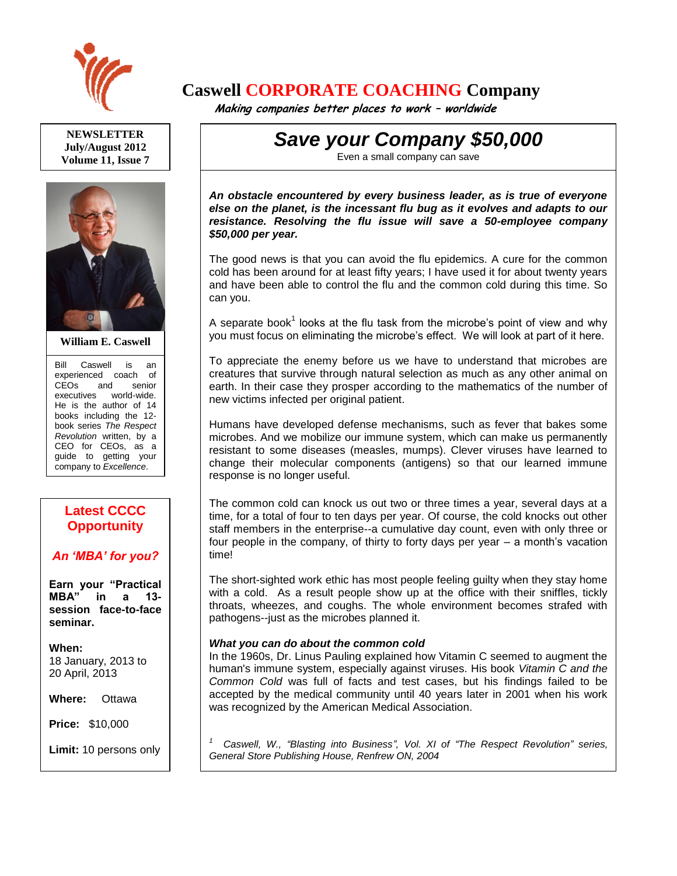

**NEWSLETTER July/August 2012 Volume 11, Issue 7**



**William E. Caswell**

Bill Caswell is an experienced coach of CEOs and senior executives world-wide. He is the author of 14 books including the 12 book series *The Respect Revolution* written, by a CEO for CEOs, as a guide to getting your company to *Excellence*.

# **Latest CCCC Opportunity**

# *An 'MBA' for you?*

**Earn your "Practical MBA" in a 13 session face-to-face seminar.**

**When:**  18 January, 2013 to 20 April, 2013

**Where:** Ottawa

**Price:** \$10,000

**Limit:** 10 persons only

Ask for more details.

# **Caswell CORPORATE COACHING Company**

 **Making companies better places to work – worldwide**

*Save your Company \$50,000*

Even a small company can save

*An obstacle encountered by every business leader, as is true of everyone else on the planet, is the incessant flu bug as it evolves and adapts to our resistance. Resolving the flu issue will save a 50-employee company \$50,000 per year.* 

The good news is that you can avoid the flu epidemics. A cure for the common cold has been around for at least fifty years; I have used it for about twenty years and have been able to control the flu and the common cold during this time. So can you.

A separate book<sup>1</sup> looks at the flu task from the microbe's point of view and why you must focus on eliminating the microbe's effect. We will look at part of it here.

To appreciate the enemy before us we have to understand that microbes are creatures that survive through natural selection as much as any other animal on earth. In their case they prosper according to the mathematics of the number of new victims infected per original patient.

Humans have developed defense mechanisms, such as fever that bakes some microbes. And we mobilize our immune system, which can make us permanently resistant to some diseases (measles, mumps). Clever viruses have learned to change their molecular components (antigens) so that our learned immune response is no longer useful.

The common cold can knock us out two or three times a year, several days at a time, for a total of four to ten days per year. Of course, the cold knocks out other staff members in the enterprise--a cumulative day count, even with only three or four people in the company, of thirty to forty days per year – a month's vacation time!

The short-sighted work ethic has most people feeling guilty when they stay home with a cold. As a result people show up at the office with their sniffles, tickly throats, wheezes, and coughs. The whole environment becomes strafed with pathogens--just as the microbes planned it.

# *What you can do about the common cold*

In the 1960s, Dr. Linus Pauling explained how Vitamin C seemed to augment the human's immune system, especially against viruses. His book *Vitamin C and the Common Cold* was full of facts and test cases, but his findings failed to be accepted by the medical community until 40 years later in 2001 when his work was recognized by the American Medical Association.

*1 Caswell, W., "Blasting into Business", Vol. XI of "The Respect Revolution" series, General Store Publishing House, Renfrew ON, 2004*